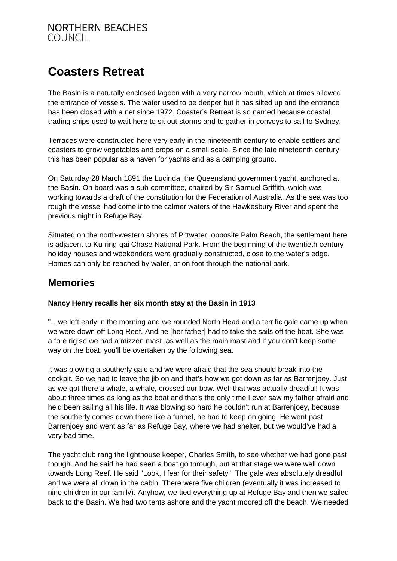#### **NORTHERN BEACHES COUNCIL**

# **Coasters Retreat**

The Basin is a naturally enclosed lagoon with a very narrow mouth, which at times allowed the entrance of vessels. The water used to be deeper but it has silted up and the entrance has been closed with a net since 1972. Coaster's Retreat is so named because coastal trading ships used to wait here to sit out storms and to gather in convoys to sail to Sydney.

Terraces were constructed here very early in the nineteenth century to enable settlers and coasters to grow vegetables and crops on a small scale. Since the late nineteenth century this has been popular as a haven for yachts and as a camping ground.

On Saturday 28 March 1891 the Lucinda, the Queensland government yacht, anchored at the Basin. On board was a sub-committee, chaired by Sir Samuel Griffith, which was working towards a draft of the constitution for the Federation of Australia. As the sea was too rough the vessel had come into the calmer waters of the Hawkesbury River and spent the previous night in Refuge Bay.

Situated on the north-western shores of Pittwater, opposite Palm Beach, the settlement here is adjacent to Ku-ring-gai Chase National Park. From the beginning of the twentieth century holiday houses and weekenders were gradually constructed, close to the water's edge. Homes can only be reached by water, or on foot through the national park.

# **Memories**

#### **Nancy Henry recalls her six month stay at the Basin in 1913**

"…we left early in the morning and we rounded North Head and a terrific gale came up when we were down off Long Reef. And he [her father] had to take the sails off the boat. She was a fore rig so we had a mizzen mast ,as well as the main mast and if you don't keep some way on the boat, you'll be overtaken by the following sea.

It was blowing a southerly gale and we were afraid that the sea should break into the cockpit. So we had to leave the jib on and that's how we got down as far as Barrenjoey. Just as we got there a whale, a whale, crossed our bow. Well that was actually dreadful! It was about three times as long as the boat and that's the only time I ever saw my father afraid and he'd been sailing all his life. It was blowing so hard he couldn't run at Barrenjoey, because the southerly comes down there like a funnel, he had to keep on going. He went past Barrenjoey and went as far as Refuge Bay, where we had shelter, but we would've had a very bad time.

The yacht club rang the lighthouse keeper, Charles Smith, to see whether we had gone past though. And he said he had seen a boat go through, but at that stage we were well down towards Long Reef. He said "Look, I fear for their safety". The gale was absolutely dreadful and we were all down in the cabin. There were five children (eventually it was increased to nine children in our family). Anyhow, we tied everything up at Refuge Bay and then we sailed back to the Basin. We had two tents ashore and the yacht moored off the beach. We needed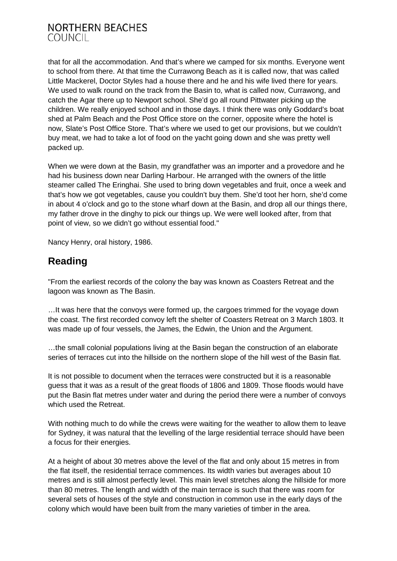### **NORTHERN BEACHES COUNCIL**

that for all the accommodation. And that's where we camped for six months. Everyone went to school from there. At that time the Currawong Beach as it is called now, that was called Little Mackerel, Doctor Styles had a house there and he and his wife lived there for years. We used to walk round on the track from the Basin to, what is called now, Currawong, and catch the Agar there up to Newport school. She'd go all round Pittwater picking up the children. We really enjoyed school and in those days. I think there was only Goddard's boat shed at Palm Beach and the Post Office store on the corner, opposite where the hotel is now, Slate's Post Office Store. That's where we used to get our provisions, but we couldn't buy meat, we had to take a lot of food on the yacht going down and she was pretty well packed up.

When we were down at the Basin, my grandfather was an importer and a provedore and he had his business down near Darling Harbour. He arranged with the owners of the little steamer called The Eringhai. She used to bring down vegetables and fruit, once a week and that's how we got vegetables, cause you couldn't buy them. She'd toot her horn, she'd come in about 4 o'clock and go to the stone wharf down at the Basin, and drop all our things there, my father drove in the dinghy to pick our things up. We were well looked after, from that point of view, so we didn't go without essential food."

Nancy Henry, oral history, 1986.

## **Reading**

"From the earliest records of the colony the bay was known as Coasters Retreat and the lagoon was known as The Basin.

…It was here that the convoys were formed up, the cargoes trimmed for the voyage down the coast. The first recorded convoy left the shelter of Coasters Retreat on 3 March 1803. It was made up of four vessels, the James, the Edwin, the Union and the Argument.

…the small colonial populations living at the Basin began the construction of an elaborate series of terraces cut into the hillside on the northern slope of the hill west of the Basin flat.

It is not possible to document when the terraces were constructed but it is a reasonable guess that it was as a result of the great floods of 1806 and 1809. Those floods would have put the Basin flat metres under water and during the period there were a number of convoys which used the Retreat.

With nothing much to do while the crews were waiting for the weather to allow them to leave for Sydney, it was natural that the levelling of the large residential terrace should have been a focus for their energies.

At a height of about 30 metres above the level of the flat and only about 15 metres in from the flat itself, the residential terrace commences. Its width varies but averages about 10 metres and is still almost perfectly level. This main level stretches along the hillside for more than 80 metres. The length and width of the main terrace is such that there was room for several sets of houses of the style and construction in common use in the early days of the colony which would have been built from the many varieties of timber in the area.